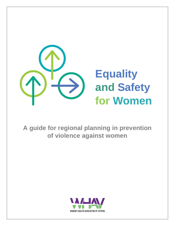

**A guide for regional planning in prevention of violence against women**

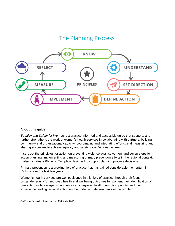

#### **About this guide**

*Equality and Safety for Women* is a practice-informed and accessible guide that supports and further strengthens the work of women's health services in collaborating with partners, building community and organisational capacity, coordinating and integrating efforts, and measuring and sharing successes to achieve equality and safety for all Victorian women.

It sets out the principles for action on preventing violence against women, and seven steps for action planning, implementing and measuring primary prevention efforts in the regional context. It also includes a Planning Template designed to support planning process decisions.

Primary prevention is a growing field of practice that has gained considerable momentum in Victoria over the last few years.

Women's health services are well positioned in this field of practice through their focus on gender equity for improved health and wellbeing outcomes for women; their identification of preventing violence against women as an integrated health promotion priority; and their experience leading regional action on the underlying determinants of the problem.

© Women's Health Association of Victoria 2017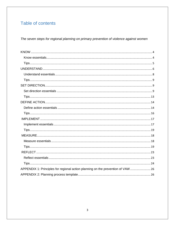# Table of contents

The seven steps for regional planning on primary prevention of violence against women

| APPENDIX 1: Principles for regional action planning on the prevention of VAW  26 |  |
|----------------------------------------------------------------------------------|--|
|                                                                                  |  |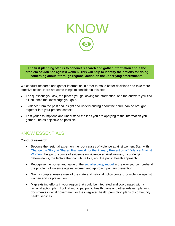<span id="page-3-0"></span>

**The first planning step is to conduct research and gather information about the problem of violence against women. This will help to identify the options for doing something about it through regional action on the underlying determinants.**

We conduct research and gather information in order to make better decisions and take more effective action. Here are some things to consider in this step.

- The questions you ask, the places you go looking for information, and the answers you find all influence the knowledge you gain.
- Evidence from the past and insight and understanding about the future can be brought together into your present context.
- Test your assumptions and understand the lens you are applying to the information you gather – be as objective as possible.

# <span id="page-3-1"></span>KNOW ESSENTIALS

#### **Conduct research**

- Become the regional expert on the root causes of violence against women. Start with [Change the Story: A Shared Framework for the Primary Prevention of Violence Against](https://www.ourwatch.org.au/getmedia/0aa0109b-6b03-43f2-85fe-a9f5ec92ae4e/Change-the-story-framework-prevent-violence-women-children-AA-new.pdf.aspx)  [Women,](https://www.ourwatch.org.au/getmedia/0aa0109b-6b03-43f2-85fe-a9f5ec92ae4e/Change-the-story-framework-prevent-violence-women-children-AA-new.pdf.aspx) the 'go to' source of evidence on violence against women, its underlying determinants, the factors that contribute to it, and the public health approach.
- Recognise the power and value of the [social ecology model](http://www.who.int/violenceprevention/approach/ecology/en/) in the way you comprehend the problem of violence against women and approach primary prevention.
- Gain a comprehensive view of the state and national policy context for violence against women and its prevention.
- Map existing efforts in your region that could be integrated and coordinated with a regional action plan. Look at municipal public health plans and other relevant planning documents in local government or the integrated health promotion plans of community health services.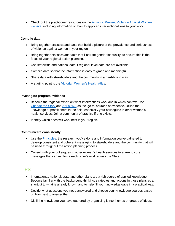• Check out the practitioner resources on the **Action to Prevent Violence Against Women** [website,](http://www.actionpvaw.org.au/) including information on how to apply an intersectional lens to your work.

#### **Compile data**

- Bring together statistics and facts that build a picture of the prevalence and seriousness of violence against women in your region.
- Bring together statistics and facts that illustrate gender inequality, to ensure this is the focus of your regional action planning.
- Use statewide and national data if regional-level data are not available.
- Compile data so that the information is easy to grasp and meaningful.
- Share data with stakeholders and the community in a hard-hitting way.
- A starting point is the [Victorian Women's Health Atlas.](http://victorianwomenshealthatlas.net.au/#!/)

#### **Investigate program evidence**

- Become the regional expert on what interventions work and in which context. Use [Change the Story](https://www.ourwatch.org.au/getmedia/0aa0109b-6b03-43f2-85fe-a9f5ec92ae4e/Change-the-story-framework-prevent-violence-women-children-AA-new.pdf.aspx) and [ANROWS](http://anrows.org.au/) as the 'go to' sources of evidence. Utilise the knowledge of practitioners in the field, especially your colleagues in other women's health services. Join a community of practice if one exists.
- Identify which ones will work best in your region.

#### **Communicate consistently**

- Use the [Principles,](#page-25-0) the research you've done and information you've gathered to develop consistent and coherent messaging to stakeholders and the community that will be used throughout the action planning process.
- Consult with your colleagues in other women's health services to agree to core messages that can reinforce each other's work across the State.

## <span id="page-4-0"></span>TIPS

- International, national, state and other plans are a rich source of applied knowledge. Become familiar with the background thinking, strategies and actions in those plans as a shortcut to what is already known and to help fill your knowledge gaps in a practical way.
- Decide what questions you need answered and choose your knowledge sources based on how best to answer them.
- Distil the knowledge you have gathered by organising it into themes or groups of ideas.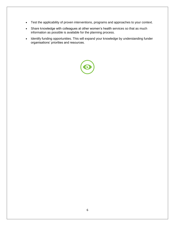- Test the applicability of proven interventions, programs and approaches to your context.
- Share knowledge with colleagues at other women's health services so that as much information as possible is available for the planning process.
- Identify funding opportunities. This will expand your knowledge by understanding funder organisations' priorities and resources.

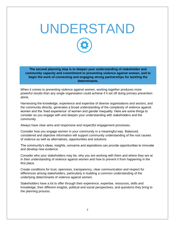# UNDERSTAND

**The second planning step is to deepen your understanding of stakeholder and community capacity and commitment to preventing violence against women, and to begin the work of connecting and engaging strong partnerships for tackling the determinants.** 

When it comes to preventing violence against women, working together produces more powerful results than any single organisation could achieve if it set off doing primary prevention alone.

Harnessing the knowledge, experience and expertise of diverse organisations and sectors, and the community directly, generates a broad understanding of the complexity of violence against women and the 'lived experience' of women and gender inequality. Here are some things to consider as you engage with and deepen your understanding with stakeholders and the community.

Always have clear aims and responsive and respectful engagement processes.

Consider how you engage women in your community in a meaningful way. Balanced, considered and objective information will support community understanding of the root causes of violence as well as alternatives, opportunities and solutions.

The community's ideas, insights, concerns and aspirations can provide opportunities to innovate and develop new evidence.

Consider who your stakeholders may be, why you are working with them and where they are at in their understanding of violence against women and how to prevent it from happening in the first place.

Create conditions for trust, openness, transparency, clear communication and respect for differences among stakeholders, particularly in building a common understanding of the underlying determinants of violence against women.

Stakeholders have a lot to offer through their experience, expertise, resources, skills and knowledge; their different insights, political and social perspectives; and questions they bring to the planning process.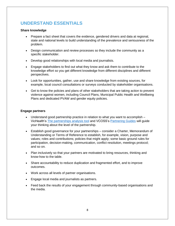# <span id="page-7-0"></span>**UNDERSTAND ESSENTIALS**

#### **Share knowledge**

- Prepare a fact sheet that covers the evidence, gendered drivers and data at regional, state and national levels to build understanding of the prevalence and seriousness of the problem.
- Design communication and review processes so they include the community as a specific stakeholder.
- Develop good relationships with local media and journalists.
- Engage stakeholders to find out what they know and ask them to contribute to the knowledge effort so you get different knowledge from different disciplines and different perspectives.
- Look for opportunities, gather, use and share knowledge from existing sources, for example, local council consultations or surveys conducted by stakeholder organisations.
- Get to know the policies and plans of other stakeholders that are taking action to prevent violence against women, including Council Plans, Municipal Public Health and Wellbeing Plans and dedicated PVAW and gender equity policies.

#### **Engage partners**

- Understand good partnership practice in relation to what you want to accomplish VicHealth's [The partnerships analysis tool](https://www.vichealth.vic.gov.au/media-and-resources/publications/the-partnerships-analysis-tool) and VCOSS's [Partnering Guides](http://vcoss.org.au/strong-sector/partnerships-decd/partnering-guides/) will guide your thinking about the level of the partnership.
- Establish good governance for your partnerships consider a Charter, Memorandum of Understanding or Terms of Reference to establish, for example, vision, purpose and values; roles and contributions; policies that might apply; some basic ground rules for participation, decision-making, communication, conflict resolution, meetings protocol; and so on.
- Plan inclusively so that your partners are motivated to bring resources, thinking and know-how to the table.
- Share accountability to reduce duplication and fragmented effort, and to improve outcomes.
- Work across all levels of partner organisations.
- Engage local media and journalists as partners.
- Feed back the results of your engagement through community-based organisations and the media.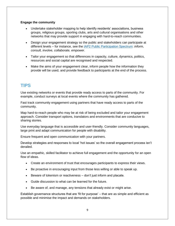#### **Engage the community**

- Undertake stakeholder mapping to help identify residents' associations, business groups, religious groups, sporting clubs, arts and cultural organisations and other networks that may provide support in engaging with hard-to-reach communities.
- Design your engagement strategy so the public and stakeholders can participate at different levels – for instance, see the [IAP2 Public Participation Spectrum:](https://www.iap2.org.au/resources/iap2s-public-participation-spectrum) *inform, consult, involve, collaborate, empower.*
- Tailor your engagement so that differences in capacity, culture, dynamics, politics, resources and social capital are recognised and respected.
- Make the aims of your engagement clear, inform people how the information they provide will be used, and provide feedback to participants at the end of the process.

# <span id="page-8-0"></span>**TIPS**

Use existing networks or events that provide ready access to parts of the community. For example, conduct surveys at local events where the community has gathered.

Fast track community engagement using partners that have ready access to parts of the community.

Map hard-to-reach people who may be at risk of being excluded and tailor your engagement approach. Consider transport options, translators and environments that are conducive to sharing stories.

Use everyday language that is accessible and user-friendly. Consider community languages, large print and adapt communication for people with disability.

Ensure frequent and open communication with your partners.

Develop strategies and responses to local 'hot issues' so the overall engagement process isn't derailed.

Use an empathic, skilled facilitator to achieve full engagement and the opportunity for an open flow of ideas.

- Create an environment of trust that encourages participants to express their views.
- Be proactive in encouraging input from those less willing or able to speak up.
- Beware of tokenism or reactiveness don't just inform and placate.
- Guide discussion to what can be learned for the future.
- Be aware of, and manage, any tensions that already exist or might arise.

Establish governance structures that are 'fit for purpose' – that are as simple and efficient as possible and minimise the impact and demands on stakeholders.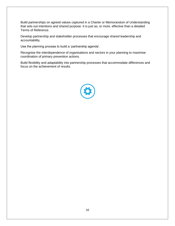Build partnerships on agreed values captured in a Charter or Memorandum of Understanding that sets out intentions and shared purpose. It is just as, or more, effective than a detailed Terms of Reference.

Develop partnership and stakeholder processes that encourage shared leadership and accountability.

Use the planning process to build a 'partnership agenda'.

Recognise the interdependence of organisations and sectors in your planning to maximise coordination of primary prevention actions.

Build flexibility and adaptability into partnership processes that accommodate differences and focus on the achievement of results.

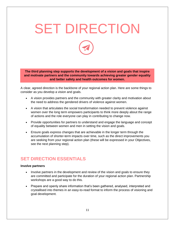# SET DIRECTION

**The third planning step supports the development of a vision and goals that inspire and motivate partners and the community towards achieving greater gender equality and better safety and health outcomes for women.**

A clear, agreed direction is the backbone of your regional action plan. Here are some things to consider as you develop a vision and goals.

- A vision provides partners and the community with greater clarity and motivation about the need to address the gendered drivers of violence against women.
- A vision that articulates the social transformation needed to prevent violence against women over the long term empowers participants to think more deeply about the range of actions and the role everyone can play in contributing to change now.
- Provide opportunities for partners to understand and engage the language and concept of equality between women and men in setting the vision and goals.
- Ensure goals express changes that are achievable in the longer term through the accumulation of shorter-term impacts over time, such as the direct improvements you are seeking from your regional action plan (these will be expressed in your Objectives, see the next planning step).

# <span id="page-10-0"></span>**SET DIRECTION ESSENTIALS**

#### **Involve partners**

- Involve partners in the development and review of the vision and goals to ensure they are committed and participate for the duration of your regional action plan. Partnership workshops are a good way to do this.
- Prepare and openly share information that's been gathered, analysed, interpreted and crystallised into themes in an easy-to-read format to inform the process of visioning and goal development.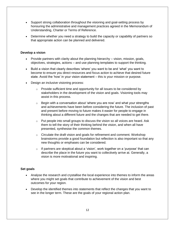- Support strong collaboration throughout the visioning and goal-setting process by honouring the administrative and management practices agreed in the Memorandum of Understanding, Charter or Terms of Reference.
- Determine whether you need a strategy to build the capacity or capability of partners so that appropriate action can be planned and delivered.

#### **Develop a vision**

- Provide partners with clarity about the planning hierarchy vision, mission, goals, objectives, strategies, actions – and use planning templates to support the thinking.
- Build a vision that clearly describes 'where' you want to be and 'what' you want to become to ensure you direct resources and focus action to achieve that desired future state. Avoid the 'how' in your vision statement – this is your mission or purpose.
- Design an inclusive visioning process:
	- $\circ$  Provide sufficient time and opportunity for all issues to be considered by stakeholders in the development of the vision and goals. Visioning tools may assist in this process.
	- $\circ$  Begin with a conversation about 'where you are now' and what your strengths and achievements have been before considering the future. The inclusion of past and present before moving to future makes it easier for people to engage in thinking about a different future and the changes that are needed to get there.
	- $\circ$  Put people into small groups to discuss the vision so all voices are heard. Ask them to tell the story of their thinking behind the vision, and when all have presented, synthesise the common themes.
	- $\circ$  Circulate the draft vision and goals for refinement and comment. Workshop brainstorms provide a good foundation but reflection is also important so that any new thoughts or emphases can be considered.
	- $\circ$  If partners are skeptical about a 'vision', work together on a 'purpose' that can describe the place in the future you want to collectively arrive at. Generally, a vision is more motivational and inspiring.

#### **Set goals**

- Analyse the research and crystallise the local experience into themes to inform the areas where you might set goals that contribute to achievement of the vision and best outcomes for your region.
- Develop the identified themes into statements that reflect the changes that you want to see in the longer term. These are the goals of your regional action plan.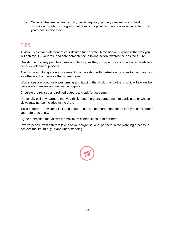• Consider the feminist framework, gender equality, primary prevention and health promotion in setting your goals that result in population change over a longer term (3-5 years post intervention).

# <span id="page-12-0"></span>**TIPS**

A vision is a clear statement of your desired future state. A mission or purpose is the way you will achieve it – your role and core competence in taking action towards the desired future.

Question and clarify people's ideas and thinking as they consider the vision – it often leads to a richer development process.

Avoid word-smithing a vision statement in a workshop with partners – its takes too long and you lose the intent of the work that's been done.

Workshops are good for brainstorming and tapping the wisdom of partners but it will always be necessary to review and revise the outputs.

Circulate the revised and refined outputs and ask for agreement.

Personally call any partners that you think need more encouragement to participate or whose views may not be included in the draft.

'Less-is-more' – develop a limited number of goals – no more than four so that you don't spread your effort too thinly.

Agree a direction that allows for maximum contributions from partners.

Involve people from different levels of your organisational partners in the planning process to achieve maximum buy-in and understanding.

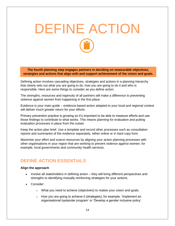# <span id="page-13-0"></span>DEFINE ACTION

**The fourth planning step engages partners in deciding on measurable objectives, strategies and actions that align with and support achievement of the vision and goals.**

Defining action involves cascading objectives, strategies and actions in a planning hierarchy that clearly sets out what you are going to do, how you are going to do it and who is responsible. Here are some things to consider as you define action.

The strengths, resources and ingenuity of all partners will make a difference to preventing violence against women from happening in the first place.

Evidence is your main guide – evidence-based action adapted to your local and regional context will deliver much greater return for your efforts.

Primary prevention practice is growing so it's important to be able to measure efforts and use those findings to contribute to what works. This means planning for evaluation and putting evaluation processes in place from the outset.

Keep the action plan brief. Use a template and record other processes such as consultation reports and summaries of the evidence separately, either online or in hard copy form.

Maximise your effort and scarce resources by aligning your action planning processes with other organisations in your region that are working to prevent violence against women; for example, local governments and community health services.

## <span id="page-13-1"></span>**DEFINE ACTION ESSENTIALS**

#### **Align the approach**

- Involve all stakeholders in defining action they will bring different perspectives and strengths to identifying mutually reinforcing strategies for your actions.
- Consider:
	- o What you need to achieve (objectives) to realise your vision and goals.
	- $\circ$  How you are going to achieve it (strategies); for example, 'Implement an organisational bystander program' or 'Develop a gender inclusive policy'.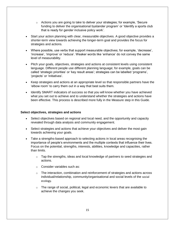- $\circ$  Actions you are going to take to deliver your strategies; for example, 'Secure funding to deliver the organisational bystander program' or 'Identify a sports club that is ready for gender inclusive policy work'.
- Start your action planning with clear, measurable objectives. A good objective provides a shorter-term view towards achieving the longer-term goal and provides the focus for strategies and actions.
- Where possible, use verbs that support measurable objectives; for example, 'decrease', 'increase', 'improve' or 'reduce'. Weaker words like 'enhance' do not convey the same level of measurability.
- Pitch your goals, objectives, strategies and actions at consistent levels using consistent language. Different people use different planning language; for example, goals can be called 'strategic priorities' or 'key result areas'; strategies can be labelled 'programs', 'projects' or 'initiatives'.
- Keep strategies and actions at an appropriate level so that responsible partners have the 'elbow room' to carry them out in a way that best suits them.
- Identify SMART indicators of success so that you will know whether you have achieved what you set out to achieve and to understand whether the strategies and actions have been effective. This process is described more fully in the Measure step in this Guide.

#### **Select objectives, strategies and actions**

- Select objectives based on regional and local need, and the opportunity and capacity revealed through data analysis and community engagement.
- Select strategies and actions that achieve your objectives and deliver the most gain towards achieving your goals.
- Take a strengths-based approach to selecting actions in local areas recognising the importance of people's environments and the multiple contexts that influence their lives. Focus on the potential, strengths, interests, abilities, knowledge and capacities, rather than limits.
	- $\circ$  Tap the strengths, ideas and local knowledge of partners to seed strategies and actions.
	- o Consider variables such as:
	- $\circ$  The interaction, combination and reinforcement of strategies and actions across individual/relationship, community/organisational and social levels of the [social](http://www.who.int/violenceprevention/approach/ecology/en/)  [ecology](http://www.who.int/violenceprevention/approach/ecology/en/).
	- $\circ$  The range of social, political, legal and economic levers that are available to achieve the changes you seek.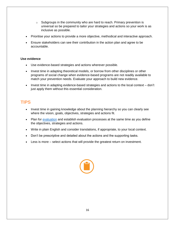- $\circ$  Subgroups in the community who are hard to reach. Primary prevention is universal so be prepared to tailor your strategies and actions so your work is as inclusive as possible.
- Prioritise your actions to provide a more objective, methodical and interactive approach.
- Ensure stakeholders can see their contribution in the action plan and agree to be accountable.

#### **Use evidence**

- Use evidence-based strategies and actions wherever possible.
- Invest time in adapting theoretical models, or borrow from other disciplines or other programs of social change when evidence-based programs are not readily available to match your prevention needs. Evaluate your approach to build new evidence.
- Invest time in adapting evidence-based strategies and actions to the local context don't just apply them without this essential consideration.

# <span id="page-15-0"></span>**TIPS**

- Invest time in gaining knowledge about the planning hierarchy so you can clearly see where the vision, goals, objectives, strategies and actions fit.
- Plan for [evaluation](https://www.vichealth.vic.gov.au/media-and-resources/publications/a-concise-guide-to-evaluating-primary-prevention-projects) and establish evaluation processes at the same time as you define the objectives, strategies and actions.
- Write in plain English and consider translations, if appropriate, to your local context.
- Don't be prescriptive and detailed about the actions and the supporting tasks.
- Less is more select actions that will provide the greatest return on investment.

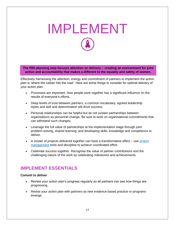# <span id="page-16-0"></span>IMPLEMENT

**The fifth planning step focuses attention on delivery – creating an environment for joint action and accountability that makes a different to the equality and safety of women.**

Effectively harnessing the attention, energy and commitment of partners to implement the action plan is 'where the rubber hits the road'. Here are some things to consider for optimal delivery of your action plan.

- Processes are important. How people work together has a significant influence on the results of everyone's efforts.
- Deep levels of trust between partners, a common vocabulary, agreed leadership styles and skill and determination will drive success.
- Personal relationships can be helpful but do not sustain partnerships between organisations as personnel change. Be sure to work on organisational commitments that can withstand such changes.
- Leverage the full value of partnerships at the implementation stage through joint problem-solving, shared learning, and developing skills, knowledge and competence to deliver.
- A cluster of projects delivered together can have a transformative effect use project [management](http://www.mindtools.com/pages/main/newMN_PPM.htm) tools and discipline to achieve coordinated effort.
- Celebrate success together. Recognise the value of partner contributions and the challenging nature of the work by celebrating milestones and achievements.

# <span id="page-16-1"></span>**IMPLEMENT ESSENTIALS**

#### **Commit to deliver**

- Review your action plan's progress regularly so all partners can see how things are progressing.
- Revise your action plan with partners as new evidence-based practice or programs emerge.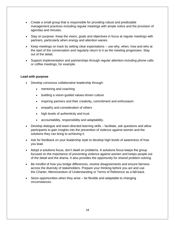- Create a small group that is responsible for providing robust and predictable management practices including regular meetings with ample notice and the provision of agendas and minutes.
- Stay on purpose. Keep the vision, goals and objectives in focus at regular meetings with partners, particularly when energy and attention wanes.
- Keep meetings on track by setting clear expectations use why, when, how and who at the start of the conversation and regularly return to it as the meeting progresses. Stay out of the detail.
- Support implementation and partnerships through regular attention including phone calls or coffee meetings, for example.

#### **Lead with purpose**

- Develop conscious collaborative leadership through:
	- mentoring and coaching
	- building a vision-guided values-driven culture
	- inspiring partners and their creativity, commitment and enthusiasm
	- empathy and consideration of others
	- high levels of authenticity and trust
	- accountability, responsibility and adaptability.
- Develop dialogue and team-directed learning skills facilitate, ask questions and allow participants to gain insights into the prevention of violence against women and the solutions they can bring to achieving it.
- Ask for feedback on your leadership style to develop high levels of awareness of how you lead.
- Adopt a solutions focus, don't dwell on problems. A solutions focus keeps the group focused on the importance of preventing violence against women and keeps people out of the detail and the drama. It also provides the opportunity for shared problem-solving.
- Be mindful of how you bridge differences, resolve disagreements and ensure fairness across the diversity of stakeholders. Prepare your thinking before you act and use the Charter, Memorandum of Understanding or Terms of Reference as a fall-back.
- Seize opportunities when they arise be flexible and adaptable to changing circumstances.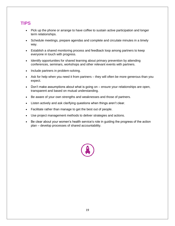# <span id="page-18-0"></span>**TIPS**

- Pick up the phone or arrange to have coffee to sustain active participation and longer term relationships.
- Schedule meetings, prepare agendas and complete and circulate minutes in a timely way.
- Establish a shared monitoring process and feedback loop among partners to keep everyone in touch with progress.
- Identify opportunities for shared learning about primary prevention by attending conferences, seminars, workshops and other relevant events with partners.
- Include partners in problem-solving.
- Ask for help when you need it from partners they will often be more generous than you expect.
- Don't make assumptions about what is going on ensure your relationships are open, transparent and based on mutual understanding.
- Be aware of your own strengths and weaknesses and those of partners.
- Listen actively and ask clarifying questions when things aren't clear.
- Facilitate rather than manage to get the best out of people.
- Use project management methods to deliver strategies and actions.
- Be clear about your women's health service's role in guiding the progress of the action plan – develop processes of shared accountability.

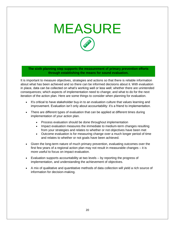# <span id="page-19-0"></span>MEASURE

**The sixth planning step supports the measurement of primary prevention efforts through establishing the means for sound evaluation.**

It is important to measure objectives, strategies and actions so that there is reliable information about what has been achieved and so there can be informed decisions about it. With evaluation in place, data can be collected on what's working well or less well; whether there are unintended consequences; which aspects of implementation need to change; and what to do for the next iteration of the action plan. Here are some things to consider when planning for evaluation.

- It's critical to have stakeholder buy-in to an evaluation culture that values learning and improvement. Evaluation isn't only about accountability: it's a friend to implementation.
- There are different types of evaluation that can be applied at different times during implementation of your action plan.
	- Process evaluation should be done throughout implementation
	- Impact evaluation measures the immediate to medium-term changes resulting from your strategies and relates to whether or not objectives have been met
	- Outcome evaluation is for measuring change over a much longer period of time and relates to whether or not goals have been achieved.
- Given the long-term nature of much primary prevention, evaluating outcomes over the first few years of a regional action plan may not result in measurable changes – it is more useful to focus on impact evaluation.
- Evaluation supports accountability at two levels by reporting the progress of implementation, and understanding the achievement of objectives.
- <span id="page-19-1"></span>• A mix of qualitative and quantitative methods of data collection will yield a rich source of information for decision-making.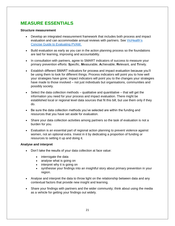# **MEASURE ESSENTIALS**

#### **Structure measurement**

- Develop an integrated measurement framework that includes both process and impact evaluation and can accommodate annual reviews with partners. See [VicHealth's](https://www.vichealth.vic.gov.au/media-and-resources/publications/a-concise-guide-to-evaluating-primary-prevention-projects)  [Concise Guide to Evaluating PVAW.](https://www.vichealth.vic.gov.au/media-and-resources/publications/a-concise-guide-to-evaluating-primary-prevention-projects)
- Build evaluation as early as you can in the action planning process so the foundations are laid for learning, improving and accountability.
- In consultation with partners, agree to SMART indicators of success to measure your primary prevention efforts: **S**pecific, **M**easurable, **A**chievable, **R**elevant, and **T**imely.
- Establish different SMART indicators for process and impact evaluation because you'll be using them to look for different things. Process indicators will point you to how well your strategies have gone; impact indicators will point you to the changes your strategies have made to those involved – not just individuals but organisations, communities and possibly society.
- Select the data collection methods  $-$  qualitative and quantitative  $-$  that will get the information you need for your process and impact evaluation. There might be established local or regional level data sources that fit this bill, but use them only if they do.
- Be sure the data collection methods you've selected are within the funding and resources that you have set aside for evaluation.
- Share your data collection activities among partners so the task of evaluation is not a burden for you.
- Evaluation is an essential part of regional action planning to prevent violence against women, not an optional extra. Invest in it by dedicating a proportion of funding or resources to setting it up and doing it.

#### **Analyse and interpret**

- Don't take the results of your data collection at face value:
	- interrogate the data
	- analyse what is going on
	- interpret why it is going on
	- synthesise your findings into an insightful story about primary prevention in your region.
- Analyse and interpret the data to throw light on the relationship between data and any contextual factors that provide new insight and learning.
- Share your findings with partners and the wider community; think about using the media as a vehicle for getting your findings out widely.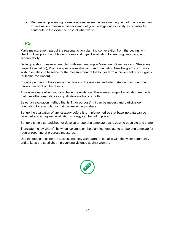• Remember, preventing violence against women is an emerging field of practice so plan for evaluation, measure the work and get your findings out as widely as possible to contribute to the evidence base of what works.

# <span id="page-21-0"></span>**TIPS**

Make measurement part of the regional action planning conversation from the beginning – check out people's thoughts on process and impact evaluation for learning, improving and accountability.

Develop a short measurement plan with key headings – Measuring Objectives and Strategies (impact evaluation), Progress (process evaluation), and Evaluating New Programs. You may wish to establish a baseline for the measurement of the longer term achievement of your goals (outcome evaluation).

Engage partners in their view of the data and the analysis and interpretation they bring that throws new light on the results.

Always evaluate when you don't have the evidence. There are a range of evaluation methods that use either quantitative or qualitative methods or both.

Select an evaluation method that is 'fit for purpose' – it can be modest and participatory (journaling for example) so that the resourcing is shared.

Set up the evaluation of any strategy before it is implemented so that baseline data can be collected and an agreed evaluation strategy can be put in place.

Set up a simple spreadsheet or develop a reporting template that is easy to populate and share.

Translate the 'by whom', 'by when' columns on the planning template to a reporting template for regular reporting of progress measures.

Use the media to celebrate success not only with partners but also with the wider community and to keep the spotlight on preventing violence against women.

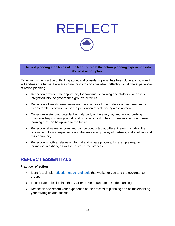<span id="page-22-0"></span>

**The last planning step feeds all the learning from the action planning experience into the next action plan.**

Reflection is the practice of thinking about and considering what has been done and how well it will address the future. Here are some things to consider when reflecting on all the experiences of action planning.

- Reflection provides the opportunity for continuous learning and dialogue when it is integrated into the governance group's activities.
- Reflection allows different views and perspectives to be understood and seen more clearly for their contribution to the prevention of violence against women.
- Consciously stepping outside the hurly burly of the everyday and asking probing questions helps to mitigate risk and provide opportunities for deeper insight and new learning that can be applied to the future.
- Reflection takes many forms and can be conducted at different levels including the rational and logical experience and the emotional journey of partners, stakeholders and the community.
- Reflection is both a relatively informal and private process, for example regular journaling in a diary, as well as a structured process.

# <span id="page-22-1"></span>**REFLECT ESSENTIALS**

#### **Practice reflection**

- Identify a simple [reflection model and tools](https://www.wlv.ac.uk/media/wlv/pdf/Greater_Manchester_AHP-HCS_Life_Long_Learning_Project_Team.pdf) that works for you and the governance group.
- Incorporate reflection into the Charter or Memorandum of Understanding.
- Reflect on and record your experience of the process of planning and of implementing your strategies and actions.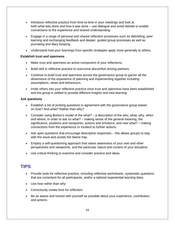- Introduce reflective practice from time-to-time in your meetings and look at both *what* was done and *how* it was done – use dialogue and avoid debate to enable connections to the experience and shared understanding.
- Engage in a range of personal and shared reflection processes such as debriefing, peer learning and exchanging feedback and deeper, guided group processes as well as journaling and diary keeping.
- Understand how your learnings from specific strategies apply more generally to others.

#### **Establish trust and openness**

- Make trust and openness an active component of your reflections.
- Build skill in reflective practice to overcome discomfort among partners.
- Continue to build trust and openness across the governance group to garner all the dimensions of the experience of planning and implementing together including assumptions, views and behaviours.
- Invite others into your reflective practice once trust and openness have been established and the group is settled to provide different insights and new learning.

#### **Ask questions**

- Establish a list of probing questions in agreement with the governance group based on *how?* And *what?* Rather than *why?*
- Consider using Borton's model of *the what?* a description of the who, what, why, when and where; in order to ask *so what?* – making sense of the general meaning, the significance, positions and viewpoints, actions and emotions; and *now what?* – making connections from the experience or incident to further actions.
- Ask open questions that encourage descriptive responses this allows groups to stay with the issue and avoids the blame trap.
- Employ a self-questioning approach that raises awareness of your own and other perspectives and viewpoints, and the particular nature and context of your discipline.
- Use critical thinking to examine and consider practice and ideas.

## <span id="page-23-0"></span>**TIPS**

- Provide tools for reflective practice, including reflective worksheets, systematic questions that are consistent for all participants, and/or a tailored experiential learning diary.
- Use *how* rather than *why*
- Consciously create time for reflection.
- Be as aware and honest with yourself as possible about your experience, contribution and actions.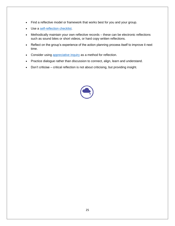- Find a reflective model or framework that works best for you and your group.
- Use a [self-reflection checklist.](http://www.worklifedesign.com.au/thestudio/WLD_ReflectivePracticeForWorkAndLife.pdf)
- Methodically maintain your own reflective records these can be electronic reflections such as sound bites or short videos, or hard copy written reflections.
- Reflect on the group's experience of the action planning process itself to improve it next time.
- Consider using [appreciative inquiry](http://www.gervasebushe.ca/the_AI_model.pdf) as a method for reflection.
- Practice dialogue rather than discussion to connect, align, learn and understand.
- Don't criticise critical reflection is not about criticising, but providing insight.

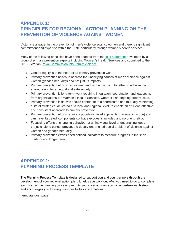# <span id="page-25-0"></span>**APPENDIX 1: PRINCIPLES FOR REGIONAL ACTION PLANNING ON THE PREVENTION OF VIOLENCE AGAINST WOMEN**

Victoria is a leader in the prevention of men's violence against women and there is significant commitment and expertise within the State particularly through women's health services.

Many of the following principles have been adapted from the [joint statement](http://www.ourwatch.org.au/News-media-%281%29/News-Media/Getting-serious-about-change-the-building-blocks-f) developed by a group of primary prevention experts including Women's Health Services and submitted to the 2015 Victorian [Royal Commission into Family Violence.](http://www.rcfv.com.au/About-Us)

- Gender equity is at the heart of all primary prevention work.
- Primary prevention needs to address the underlying causes of men's violence against women (gender inequality) and not just its impacts.
- Primary prevention efforts involve men and women working together to achieve the shared vision for an equal and safe society.
- Primary prevention is long-term work requiring integration, coordination and leadership from organisations like Women's Health Services, where it's an ongoing priority issue.
- Primary prevention initiatives should contribute to a coordinated and mutually reinforcing suite of strategies, delivered at a local and regional level, to enable an efficient, effective and consistent approach to primary prevention.
- Primary prevention efforts require a population level approach (universal in scope) and can have 'targeted' components so that *everyone* is included and no one is left out.
- Focussing efforts at changing behaviour at an individual level or undertaking 'good projects' alone cannot prevent the deeply-entrenched social problem of violence against women and gender inequality.
- <span id="page-25-1"></span>• Primary prevention efforts need defined indicators to measure progress in the short, medium and longer term.

# **APPENDIX 2: PLANNING PROCESS TEMPLATE**

The Planning Process Template is designed to support you and your partners through the development of your regional action plan. It helps you work out *what* you need to do to complete each step of the planning process, prompts you to set out *how* you will undertake each step, and encourages you to assign responsibilities and timelines.

[template over page]